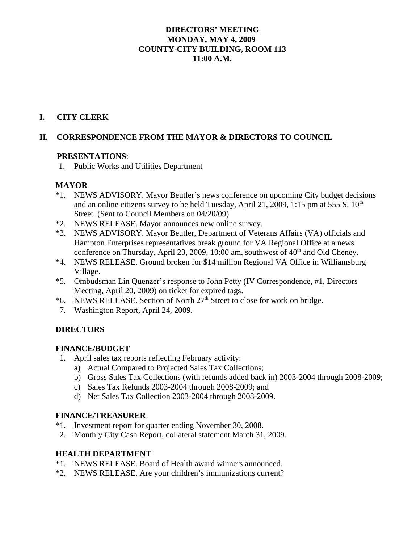## **DIRECTORS' MEETING MONDAY, MAY 4, 2009 COUNTY-CITY BUILDING, ROOM 113 11:00 A.M.**

## **I. CITY CLERK**

## **II. CORRESPONDENCE FROM THE MAYOR & DIRECTORS TO COUNCIL**

#### **PRESENTATIONS**:

1. Public Works and Utilities Department

#### **MAYOR**

- \*1. NEWS ADVISORY. Mayor Beutler's news conference on upcoming City budget decisions and an online citizens survey to be held Tuesday, April 21, 2009, 1:15 pm at 555 S.  $10<sup>th</sup>$ Street. (Sent to Council Members on 04/20/09)
- \*2. NEWS RELEASE. Mayor announces new online survey.
- \*3. NEWS ADVISORY. Mayor Beutler, Department of Veterans Affairs (VA) officials and Hampton Enterprises representatives break ground for VA Regional Office at a news conference on Thursday, April 23, 2009, 10:00 am, southwest of  $40<sup>th</sup>$  and Old Cheney.
- \*4. NEWS RELEASE. Ground broken for \$14 million Regional VA Office in Williamsburg Village.
- \*5. Ombudsman Lin Quenzer's response to John Petty (IV Correspondence, #1, Directors Meeting, April 20, 2009) on ticket for expired tags.
- \*6. NEWS RELEASE. Section of North 27<sup>th</sup> Street to close for work on bridge.
- 7. Washington Report, April 24, 2009.

#### **DIRECTORS**

#### **FINANCE/BUDGET**

- 1. April sales tax reports reflecting February activity:
	- a) Actual Compared to Projected Sales Tax Collections;
	- b) Gross Sales Tax Collections (with refunds added back in) 2003-2004 through 2008-2009;
	- c) Sales Tax Refunds 2003-2004 through 2008-2009; and
	- d) Net Sales Tax Collection 2003-2004 through 2008-2009.

#### **FINANCE/TREASURER**

- \*1. Investment report for quarter ending November 30, 2008.
- 2. Monthly City Cash Report, collateral statement March 31, 2009.

#### **HEALTH DEPARTMENT**

- \*1. NEWS RELEASE. Board of Health award winners announced.
- \*2. NEWS RELEASE. Are your children's immunizations current?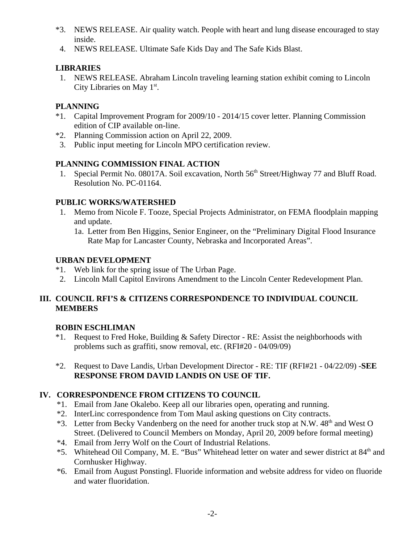- \*3. NEWS RELEASE. Air quality watch. People with heart and lung disease encouraged to stay inside.
- 4. NEWS RELEASE. Ultimate Safe Kids Day and The Safe Kids Blast.

# **LIBRARIES**

 1. NEWS RELEASE. Abraham Lincoln traveling learning station exhibit coming to Lincoln City Libraries on May  $1<sup>st</sup>$ .

# **PLANNING**

- \*1. Capital Improvement Program for 2009/10 2014/15 cover letter. Planning Commission edition of CIP available on-line.
- \*2. Planning Commission action on April 22, 2009.
- 3. Public input meeting for Lincoln MPO certification review.

# **PLANNING COMMISSION FINAL ACTION**

1. Special Permit No. 08017A. Soil excavation, North 56<sup>th</sup> Street/Highway 77 and Bluff Road. Resolution No. PC-01164.

# **PUBLIC WORKS/WATERSHED**

- 1. Memo from Nicole F. Tooze, Special Projects Administrator, on FEMA floodplain mapping and update.
	- 1a. Letter from Ben Higgins, Senior Engineer, on the "Preliminary Digital Flood Insurance Rate Map for Lancaster County, Nebraska and Incorporated Areas".

# **URBAN DEVELOPMENT**

- \*1. Web link for the spring issue of The Urban Page.
- 2. Lincoln Mall Capitol Environs Amendment to the Lincoln Center Redevelopment Plan.

# **III. COUNCIL RFI'S & CITIZENS CORRESPONDENCE TO INDIVIDUAL COUNCIL MEMBERS**

# **ROBIN ESCHLIMAN**

- \*1. Request to Fred Hoke, Building & Safety Director RE: Assist the neighborhoods with problems such as graffiti, snow removal, etc. (RFI#20 - 04/09/09)
- \*2. Request to Dave Landis, Urban Development Director RE: TIF (RFI#21 04/22/09) -**SEE RESPONSE FROM DAVID LANDIS ON USE OF TIF.**

# **IV. CORRESPONDENCE FROM CITIZENS TO COUNCIL**

- \*1. Email from Jane Okalebo. Keep all our libraries open, operating and running.
- \*2. InterLinc correspondence from Tom Maul asking questions on City contracts.
- \*3. Letter from Becky Vandenberg on the need for another truck stop at N.W. 48<sup>th</sup> and West O Street. (Delivered to Council Members on Monday, April 20, 2009 before formal meeting)
- \*4. Email from Jerry Wolf on the Court of Industrial Relations.
- \*5. Whitehead Oil Company, M. E. "Bus" Whitehead letter on water and sewer district at 84<sup>th</sup> and Cornhusker Highway.
- \*6. Email from August Ponstingl. Fluoride information and website address for video on fluoride and water fluoridation.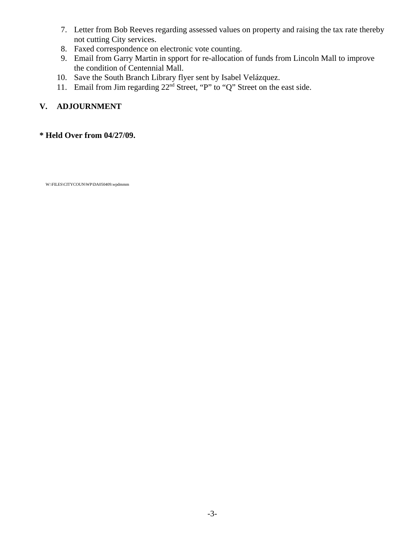- 7. Letter from Bob Reeves regarding assessed values on property and raising the tax rate thereby not cutting City services.
- 8. Faxed correspondence on electronic vote counting.
- 9. Email from Garry Martin in spport for re-allocation of funds from Lincoln Mall to improve the condition of Centennial Mall.
- 10. Save the South Branch Library flyer sent by Isabel Velázquez.
- 11. Email from Jim regarding  $22<sup>nd</sup>$  Street, "P" to "Q" Street on the east side.

# **V. ADJOURNMENT**

## **\* Held Over from 04/27/09.**

W:\FILES\CITYCOUN\WP\DA050409.wpdmmm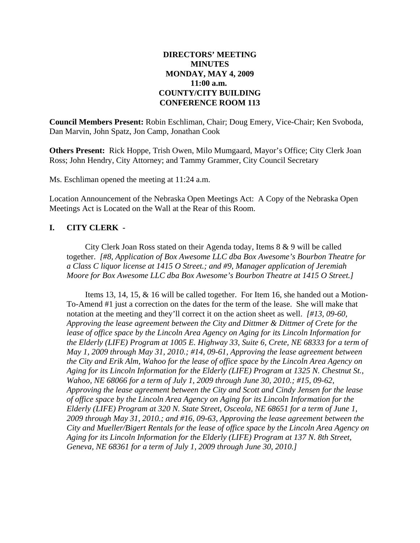#### **DIRECTORS' MEETING MINUTES MONDAY, MAY 4, 2009 11:00 a.m. COUNTY/CITY BUILDING CONFERENCE ROOM 113**

**Council Members Present:** Robin Eschliman, Chair; Doug Emery, Vice-Chair; Ken Svoboda, Dan Marvin, John Spatz, Jon Camp, Jonathan Cook

**Others Present:** Rick Hoppe, Trish Owen, Milo Mumgaard, Mayor's Office; City Clerk Joan Ross; John Hendry, City Attorney; and Tammy Grammer, City Council Secretary

Ms. Eschliman opened the meeting at 11:24 a.m.

Location Announcement of the Nebraska Open Meetings Act: A Copy of the Nebraska Open Meetings Act is Located on the Wall at the Rear of this Room.

#### **I. CITY CLERK -**

City Clerk Joan Ross stated on their Agenda today, Items 8 & 9 will be called together. *[#8, Application of Box Awesome LLC dba Box Awesome's Bourbon Theatre for a Class C liquor license at 1415 O Street.; and #9, Manager application of Jeremiah Moore for Box Awesome LLC dba Box Awesome's Bourbon Theatre at 1415 O Street.]* 

Items 13, 14, 15, & 16 will be called together. For Item 16, she handed out a Motion-To-Amend #1 just a correction on the dates for the term of the lease. She will make that notation at the meeting and they'll correct it on the action sheet as well. *[#13, 09-60, Approving the lease agreement between the City and Dittmer & Dittmer of Crete for the lease of office space by the Lincoln Area Agency on Aging for its Lincoln Information for the Elderly (LIFE) Program at 1005 E. Highway 33, Suite 6, Crete, NE 68333 for a term of May 1, 2009 through May 31, 2010.; #14, 09-61, Approving the lease agreement between the City and Erik Alm, Wahoo for the lease of office space by the Lincoln Area Agency on Aging for its Lincoln Information for the Elderly (LIFE) Program at 1325 N. Chestnut St., Wahoo, NE 68066 for a term of July 1, 2009 through June 30, 2010.; #15, 09-62, Approving the lease agreement between the City and Scott and Cindy Jensen for the lease of office space by the Lincoln Area Agency on Aging for its Lincoln Information for the Elderly (LIFE) Program at 320 N. State Street, Osceola, NE 68651 for a term of June 1, 2009 through May 31, 2010.; and #16, 09-63, Approving the lease agreement between the City and Mueller/Bigert Rentals for the lease of office space by the Lincoln Area Agency on Aging for its Lincoln Information for the Elderly (LIFE) Program at 137 N. 8th Street, Geneva, NE 68361 for a term of July 1, 2009 through June 30, 2010.]*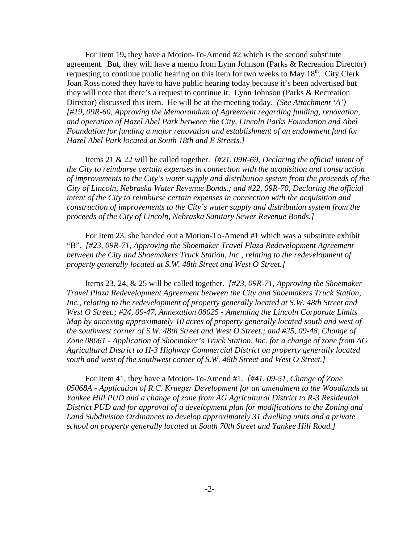For Item 19**,** they have a Motion-To-Amend #2 which is the second substitute agreement. But, they will have a memo from Lynn Johnson (Parks & Recreation Director) requesting to continue public hearing on this item for two weeks to May  $18<sup>th</sup>$ . City Clerk Joan Ross noted they have to have public hearing today because it's been advertised but they will note that there's a request to continue it. Lynn Johnson (Parks & Recreation Director) discussed this item. He will be at the meeting today. *(See Attachment 'A') [#19, 09R-60, Approving the Memorandum of Agreement regarding funding, renovation, and operation of Hazel Abel Park between the City, Lincoln Parks Foundation and Abel Foundation for funding a major renovation and establishment of an endowment fund for Hazel Abel Park located at South 18th and E Streets.]*

Items 21 & 22 will be called together. *[#21, 09R-69, Declaring the official intent of the City to reimburse certain expenses in connection with the acquisition and construction of improvements to the City's water supply and distribution system from the proceeds of the City of Lincoln, Nebraska Water Revenue Bonds.; and #22, 09R-70, Declaring the official intent of the City to reimburse certain expenses in connection with the acquisition and construction of improvements to the City's water supply and distribution system from the proceeds of the City of Lincoln, Nebraska Sanitary Sewer Revenue Bonds.]*

For Item 23, she handed out a Motion-To-Amend #1 which was a substitute exhibit "B". *[#23, 09R-71, Approving the Shoemaker Travel Plaza Redevelopment Agreement between the City and Shoemakers Truck Station, Inc., relating to the redevelopment of property generally located at S.W. 48th Street and West O Street.]*

Items 23, 24, & 25 will be called together. *[#23, 09R-71, Approving the Shoemaker Travel Plaza Redevelopment Agreement between the City and Shoemakers Truck Station, Inc., relating to the redevelopment of property generally located at S.W. 48th Street and West O Street.; #24, 09-47, Annexation 08025 - Amending the Lincoln Corporate Limits Map by annexing approximately 10 acres of property generally located south and west of the southwest corner of S.W. 48th Street and West O Street.; and #25, 09-48, Change of Zone 08061 - Application of Shoemaker's Truck Station, Inc. for a change of zone from AG Agricultural District to H-3 Highway Commercial District on property generally located south and west of the southwest corner of S.W. 48th Street and West O Street.]* 

For Item 41, they have a Motion-To-Amend #1. *[#41, 09-51, Change of Zone 05068A - Application of R.C. Krueger Development for an amendment to the Woodlands at Yankee Hill PUD and a change of zone from AG Agricultural District to R-3 Residential District PUD and for approval of a development plan for modifications to the Zoning and Land Subdivision Ordinances to develop approximately 31 dwelling units and a private school on property generally located at South 70th Street and Yankee Hill Road.]*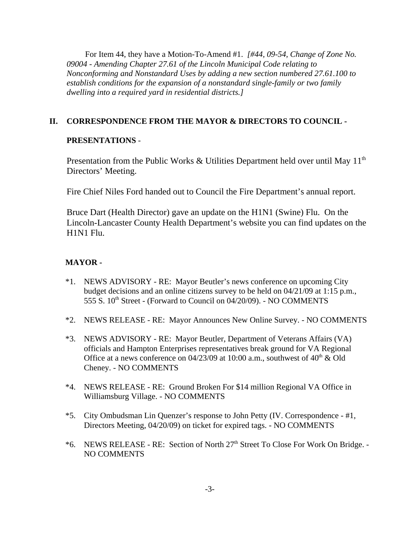For Item 44, they have a Motion-To-Amend #1. *[#44, 09-54, Change of Zone No. 09004 - Amending Chapter 27.61 of the Lincoln Municipal Code relating to Nonconforming and Nonstandard Uses by adding a new section numbered 27.61.100 to establish conditions for the expansion of a nonstandard single-family or two family dwelling into a required yard in residential districts.]*

## **II. CORRESPONDENCE FROM THE MAYOR & DIRECTORS TO COUNCIL -**

#### **PRESENTATIONS** -

Presentation from the Public Works & Utilities Department held over until May  $11<sup>th</sup>$ Directors' Meeting.

Fire Chief Niles Ford handed out to Council the Fire Department's annual report.

Bruce Dart (Health Director) gave an update on the H1N1 (Swine) Flu. On the Lincoln-Lancaster County Health Department's website you can find updates on the H1N1 Flu.

#### **MAYOR -**

- \*1. NEWS ADVISORY RE: Mayor Beutler's news conference on upcoming City budget decisions and an online citizens survey to be held on 04/21/09 at 1:15 p.m., 555 S. 10<sup>th</sup> Street - (Forward to Council on 04/20/09). - NO COMMENTS
- \*2. NEWS RELEASE RE: Mayor Announces New Online Survey. NO COMMENTS
- \*3. NEWS ADVISORY RE: Mayor Beutler, Department of Veterans Affairs (VA) officials and Hampton Enterprises representatives break ground for VA Regional Office at a news conference on  $04/23/09$  at 10:00 a.m., southwest of  $40<sup>th</sup>$  & Old Cheney. - NO COMMENTS
- \*4. NEWS RELEASE RE: Ground Broken For \$14 million Regional VA Office in Williamsburg Village. - NO COMMENTS
- \*5. City Ombudsman Lin Quenzer's response to John Petty (IV. Correspondence #1, Directors Meeting, 04/20/09) on ticket for expired tags. - NO COMMENTS
- \*6. NEWS RELEASE RE: Section of North 27<sup>th</sup> Street To Close For Work On Bridge. -NO COMMENTS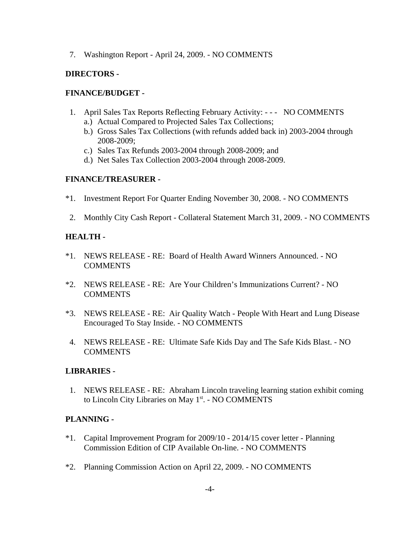7. Washington Report - April 24, 2009. - NO COMMENTS

## **DIRECTORS -**

#### **FINANCE/BUDGET -**

- 1. April Sales Tax Reports Reflecting February Activity: - NO COMMENTS
	- a.) Actual Compared to Projected Sales Tax Collections;
	- b.) Gross Sales Tax Collections (with refunds added back in) 2003-2004 through 2008-2009;
	- c.) Sales Tax Refunds 2003-2004 through 2008-2009; and
	- d.) Net Sales Tax Collection 2003-2004 through 2008-2009.

#### **FINANCE/TREASURER -**

- \*1. Investment Report For Quarter Ending November 30, 2008. NO COMMENTS
- 2. Monthly City Cash Report Collateral Statement March 31, 2009. NO COMMENTS

#### **HEALTH -**

- \*1. NEWS RELEASE RE: Board of Health Award Winners Announced. NO COMMENTS
- \*2. NEWS RELEASE RE: Are Your Children's Immunizations Current? NO **COMMENTS**
- \*3. NEWS RELEASE RE: Air Quality Watch People With Heart and Lung Disease Encouraged To Stay Inside. - NO COMMENTS
- 4. NEWS RELEASE RE: Ultimate Safe Kids Day and The Safe Kids Blast. NO **COMMENTS**

#### **LIBRARIES -**

 1. NEWS RELEASE - RE: Abraham Lincoln traveling learning station exhibit coming to Lincoln City Libraries on May 1<sup>st</sup>. - NO COMMENTS

#### **PLANNING -**

- \*1. Capital Improvement Program for 2009/10 2014/15 cover letter Planning Commission Edition of CIP Available On-line. - NO COMMENTS
- \*2. Planning Commission Action on April 22, 2009. NO COMMENTS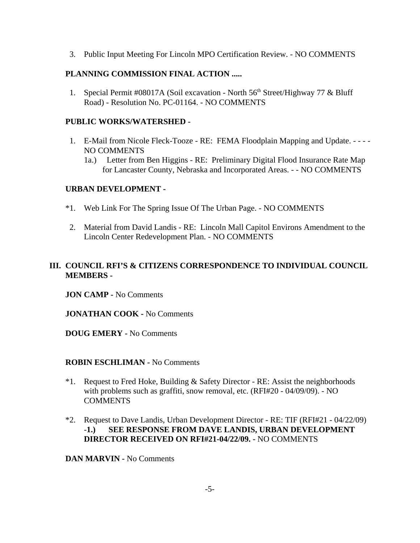3. Public Input Meeting For Lincoln MPO Certification Review. - NO COMMENTS

## **PLANNING COMMISSION FINAL ACTION .....**

1. Special Permit #08017A (Soil excavation - North 56<sup>th</sup> Street/Highway 77 & Bluff Road) - Resolution No. PC-01164. - NO COMMENTS

#### **PUBLIC WORKS/WATERSHED -**

- 1. E-Mail from Nicole Fleck-Tooze RE: FEMA Floodplain Mapping and Update. - - NO COMMENTS
	- 1a.) Letter from Ben Higgins RE: Preliminary Digital Flood Insurance Rate Map for Lancaster County, Nebraska and Incorporated Areas. - - NO COMMENTS

#### **URBAN DEVELOPMENT -**

- \*1. Web Link For The Spring Issue Of The Urban Page. NO COMMENTS
- 2. Material from David Landis RE: Lincoln Mall Capitol Environs Amendment to the Lincoln Center Redevelopment Plan. - NO COMMENTS

## **III. COUNCIL RFI'S & CITIZENS CORRESPONDENCE TO INDIVIDUAL COUNCIL MEMBERS -**

**JON CAMP -** No Comments

**JONATHAN COOK -** No Comments

**DOUG EMERY -** No Comments

#### **ROBIN ESCHLIMAN -** No Comments

- \*1. Request to Fred Hoke, Building & Safety Director RE: Assist the neighborhoods with problems such as graffiti, snow removal, etc. (RFI#20 - 04/09/09). - NO **COMMENTS**
- \*2. Request to Dave Landis, Urban Development Director RE: TIF (RFI#21 04/22/09) -**1.) SEE RESPONSE FROM DAVE LANDIS, URBAN DEVELOPMENT DIRECTOR RECEIVED ON RFI#21-04/22/09. -** NO COMMENTS

**DAN MARVIN -** No Comments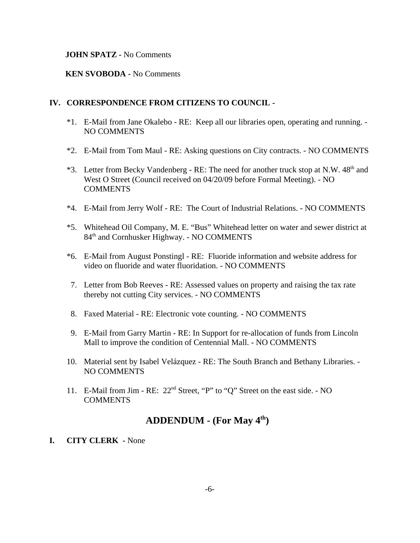#### **JOHN SPATZ -** No Comments

#### **KEN SVOBODA -** No Comments

#### **IV. CORRESPONDENCE FROM CITIZENS TO COUNCIL -**

- \*1. E-Mail from Jane Okalebo RE: Keep all our libraries open, operating and running. NO COMMENTS
- \*2. E-Mail from Tom Maul RE: Asking questions on City contracts. NO COMMENTS
- \*3. Letter from Becky Vandenberg RE: The need for another truck stop at N.W. 48<sup>th</sup> and West O Street (Council received on 04/20/09 before Formal Meeting). - NO **COMMENTS**
- \*4. E-Mail from Jerry Wolf RE: The Court of Industrial Relations. NO COMMENTS
- \*5. Whitehead Oil Company, M. E. "Bus" Whitehead letter on water and sewer district at 84th and Cornhusker Highway. - NO COMMENTS
- \*6. E-Mail from August Ponstingl RE: Fluoride information and website address for video on fluoride and water fluoridation. - NO COMMENTS
- 7. Letter from Bob Reeves RE: Assessed values on property and raising the tax rate thereby not cutting City services. - NO COMMENTS
- 8. Faxed Material RE: Electronic vote counting. NO COMMENTS
- 9. E-Mail from Garry Martin RE: In Support for re-allocation of funds from Lincoln Mall to improve the condition of Centennial Mall. - NO COMMENTS
- 10. Material sent by Isabel Velázquez RE: The South Branch and Bethany Libraries. NO COMMENTS
- 11. E-Mail from Jim RE: 22nd Street, "P" to "Q" Street on the east side. NO **COMMENTS**

# **ADDENDUM - (For May 4th)**

#### **I. CITY CLERK -** None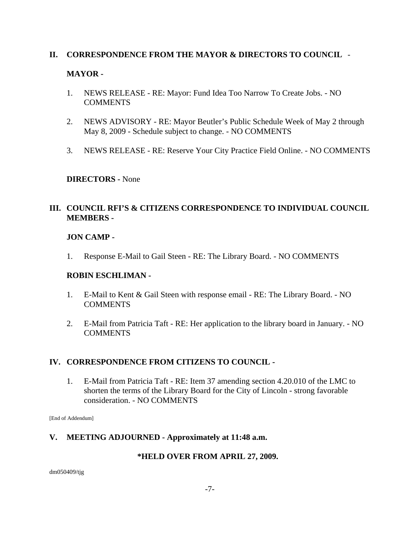## **II. CORRESPONDENCE FROM THE MAYOR & DIRECTORS TO COUNCIL** -

## **MAYOR -**

- 1. NEWS RELEASE RE: Mayor: Fund Idea Too Narrow To Create Jobs. NO **COMMENTS**
- 2. NEWS ADVISORY RE: Mayor Beutler's Public Schedule Week of May 2 through May 8, 2009 - Schedule subject to change. - NO COMMENTS
- 3. NEWS RELEASE RE: Reserve Your City Practice Field Online. NO COMMENTS

#### **DIRECTORS -** None

# **III. COUNCIL RFI'S & CITIZENS CORRESPONDENCE TO INDIVIDUAL COUNCIL MEMBERS -**

## **JON CAMP -**

1. Response E-Mail to Gail Steen - RE: The Library Board. - NO COMMENTS

#### **ROBIN ESCHLIMAN -**

- 1. E-Mail to Kent & Gail Steen with response email RE: The Library Board. NO **COMMENTS**
- 2. E-Mail from Patricia Taft RE: Her application to the library board in January. NO **COMMENTS**

# **IV. CORRESPONDENCE FROM CITIZENS TO COUNCIL -**

1. E-Mail from Patricia Taft - RE: Item 37 amending section 4.20.010 of the LMC to shorten the terms of the Library Board for the City of Lincoln - strong favorable consideration. - NO COMMENTS

[End of Addendum]

# **V. MEETING ADJOURNED - Approximately at 11:48 a.m.**

#### **\*HELD OVER FROM APRIL 27, 2009.**

dm050409/tjg